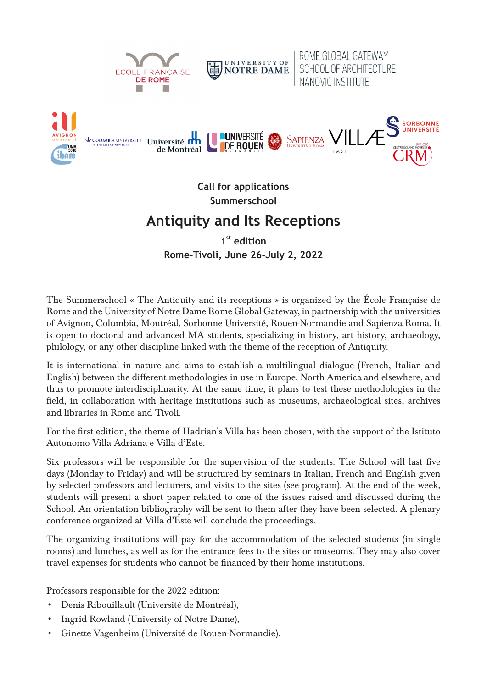

**Call for applications Summerschool**

## **Antiquity and Its Receptions**

**1st edition Rome-Tivoli, June 26-July 2, 2022**

The Summerschool « The Antiquity and its receptions » is organized by the École Française de Rome and the University of Notre Dame Rome Global Gateway, in partnership with the universities of Avignon, Columbia, Montréal, Sorbonne Université, Rouen-Normandie and Sapienza Roma. It is open to doctoral and advanced MA students, specializing in history, art history, archaeology, philology, or any other discipline linked with the theme of the reception of Antiquity.

It is international in nature and aims to establish a multilingual dialogue (French, Italian and English) between the different methodologies in use in Europe, North America and elsewhere, and thus to promote interdisciplinarity. At the same time, it plans to test these methodologies in the field, in collaboration with heritage institutions such as museums, archaeological sites, archives and libraries in Rome and Tivoli.

For the first edition, the theme of Hadrian's Villa has been chosen, with the support of the Istituto Autonomo Villa Adriana e Villa d'Este.

Six professors will be responsible for the supervision of the students. The School will last five days (Monday to Friday) and will be structured by seminars in Italian, French and English given by selected professors and lecturers, and visits to the sites (see program). At the end of the week, students will present a short paper related to one of the issues raised and discussed during the School. An orientation bibliography will be sent to them after they have been selected. A plenary conference organized at Villa d'Este will conclude the proceedings.

The organizing institutions will pay for the accommodation of the selected students (in single rooms) and lunches, as well as for the entrance fees to the sites or museums. They may also cover travel expenses for students who cannot be financed by their home institutions.

Professors responsible for the 2022 edition:

- Denis Ribouillault (Université de Montréal),
- Ingrid Rowland (University of Notre Dame),
- Ginette Vagenheim (Université de Rouen-Normandie).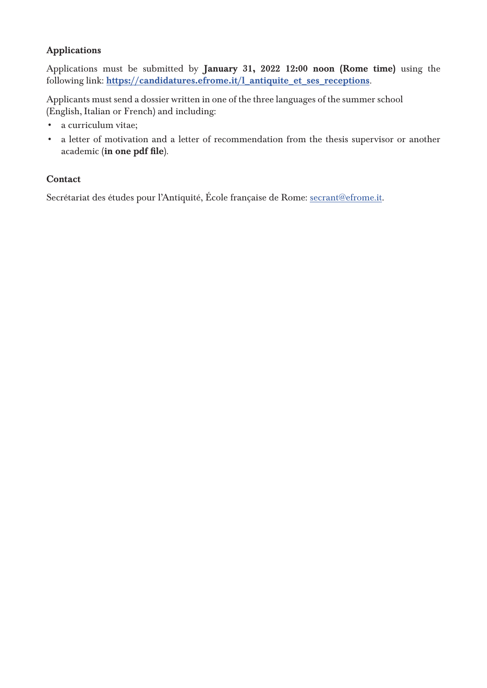## Applications

Applications must be submitted by January 31, 2022 12:00 noon (Rome time) using the following link: https://candidatures.efrome.it/l\_antiquite\_et\_ses\_receptions.

Applicants must send a dossier written in one of the three languages of the summer school (English, Italian or French) and including:

- a curriculum vitae;
- a letter of motivation and a letter of recommendation from the thesis supervisor or another academic (in one pdf file).

## Contact

Secrétariat des études pour l'Antiquité, École française de Rome: secrant@efrome.it.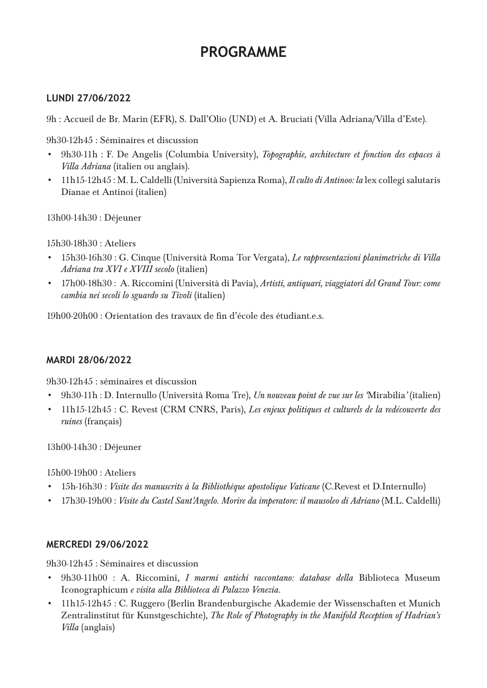# **PROGRAMME**

## **LUNDI 27/06/2022**

9h : Accueil de Br. Marin (EFR), S. Dall'Olio (UND) et A. Bruciati (Villa Adriana/Villa d'Este).

9h30-12h45 : Séminaires et discussion

- 9h30-11h : F. De Angelis (Columbia University), *Topographie, architecture et fonction des espaces à Villa Adriana* (italien ou anglais).
- 11h15-12h45 : M. L. Caldelli (Università Sapienza Roma), *Il culto di Antinoo: la* lex collegi salutaris Dianae et Antinoi (italien)

13h00-14h30 : Déjeuner

15h30-18h30 : Ateliers

- 15h30-16h30 : G. Cinque (Università Roma Tor Vergata), *Le rappresentazioni planimetriche di Villa Adriana tra XVI e XVIII secolo* (italien)
- 17h00-18h30 : A. Riccomini (Università di Pavia), *Artisti, antiquari, viaggiatori del Grand Tour: come cambia nei secoli lo sguardo su Tivoli* (italien)

19h00-20h00 : Orientation des travaux de fin d'école des étudiant.e.s.

## **MARDI 28/06/2022**

9h30-12h45 : séminaires et discussion

- 9h30-11h : D. Internullo (Università Roma Tre), *Un nouveau point de vue sur les '*Mirabilia*'* (italien)
- 11h15-12h45 : C. Revest (CRM CNRS, Paris), *Les enjeux politiques et culturels de la redécouverte des ruines* (français)

13h00-14h30 : Déjeuner

15h00-19h00 : Ateliers

- 15h-16h30 : *Visite des manuscrits à la Bibliothèque apostolique Vaticane* (C.Revest et D.Internullo)
- 17h30-19h00 : *Visite du Castel Sant'Angelo. Morire da imperatore: il mausoleo di Adriano* (M.L. Caldelli)

#### **MERCREDI 29/06/2022**

9h30-12h45 : Séminaires et discussion

- 9h30-11h00 : A. Riccomini, *I marmi antichi raccontano: database della* Biblioteca Museum Iconographicum *e visita alla Biblioteca di Palazzo Venezia*.
- 11h15-12h45 : C. Ruggero (Berlin Brandenburgische Akademie der Wissenschaften et Munich Zentralinstitut für Kunstgeschichte), *The Role of Photography in the Manifold Reception of Hadrian's Villa* (anglais)